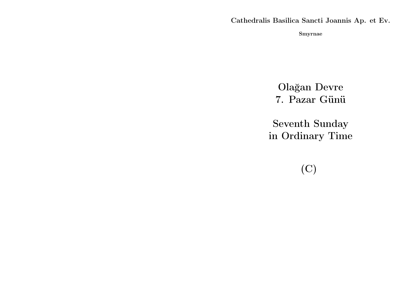Cathedralis Basilica Sancti Joannis Ap. et Ev.

Smyrnae

Olağan Devre 7. Pazar Günü

Seventh Sunday in Ordinary Time

(C)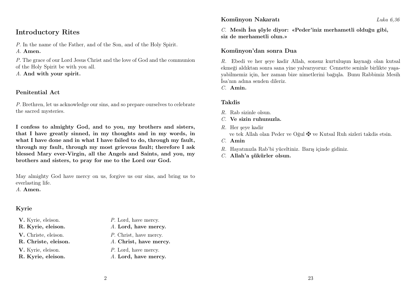Introductory Rites

P. In the name of the Father, and of the Son, and of the Holy Spirit. A. Amen.

P. The grace of our Lord Jesus Christ and the love of God and the communion of the Holy Spirit be with you all.

A. And with your spirit.

# Penitential Act

P. Brethren, let us acknowledge our sins, and so prepare ourselves to celebrate the sacred mysteries.

I confess to almighty God, and to you, my brothers and sisters, that I have greatly sinned, in my thoughts and in my words, in what I have done and in what I have failed to do, through my fault, through my fault, through my most grievous fault; therefore I ask blessed Mary ever-Virgin, all the Angels and Saints, and you, my brothers and sisters, to pray for me to the Lord our God.

May almighty God have mercy on us, forgive us our sins, and bring us to everlasting life.

A. Amen.

# Kyrie

- 
- 
- 
- 

- V. Kyrie, eleison.  $P.$  Lord, have mercy.
- R. Kyrie, eleison. A. Lord, have mercy.
- V. Christe, eleison. P. Christ, have mercy.
- R. Christe, eleison. A. Christ, have mercy.
- V. Kyrie, eleison.  $P$ . Lord, have mercy.
- R. Kyrie, eleison. A. Lord, have mercy.

# Komünyon Nakaratı Luka 6,36

C. Mesih İsa şöyle diyor: «Peder'iniz merhametli olduğu gibi, siz de merhametli olun.»

# Komünyon'dan sonra Dua

R. Ebedi ve her şeye kadir Allah, sonsuz kurtuluşun kaynağı olan kutsal ekmeği aldıktan sonra sana yine yalvarıyoruz: Cennette seninle birlikte yaşayabilmemiz için, her zaman bize nimetlerini bağışla. Bunu Rabbimiz Mesih İsa'nın adına senden dileriz.

C. Amin.

# Takdis

- $R$ . Rab sizinle olsun.
- $C$ . Ve sizin ruhunuzla.
- R. Her şeye kadir ve tek Allah olan Peder ve Oğul  $\mathbf{\ddot{F}}$  ve Kutsal Ruh sizleri takdis etsin.
- C. Amin
- R. Hayatınızla Rab'bi yüceltiniz. Barış içinde gidiniz.
- C. Allah'a şükürler olsun.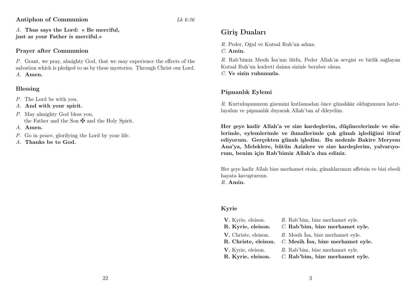A. Thus says the Lord: « Be merciful, just as your Father is merciful.»

## Prayer after Communion

P. Grant, we pray, almighty God, that we may experience the effects of the salvation which is pledged to us by these mysteries. Through Christ our Lord. A. Amen.

# Blessing

- P. The Lord be with you.
- A. And with your spirit.
- P. May almighty God bless you, the Father and the Son  $\mathbf{\ddot{F}}$  and the Holy Spirit.
- A. Amen.
- P. Go in peace, glorifying the Lord by your life.
- A. Thanks be to God.

# Giriş Duaları

R. Peder, Oğul ve Kutsal Ruh'un adına.

C. Amin.

R. Rab'bimiz Mesih İsa'nın lütfu, Peder Allah'ın sevgisi ve birlik sağlayan Kutsal Ruh'un kudreti daima sizinle beraber olsun.

C. Ve sizin ruhunuzla.

# Pişmanlık Eylemi

R. Kurtuluşumuzun gizemini kutlamadan önce günahkâr olduğumuzu hatırlayalım ve pişmanlık duyarak Allah'tan af dileyelim.

Her şeye kadir Allah'a ve size kardeşlerim, düşüncelerimle ve sözlerimle, eylemlerimle ve ihmallerimle çok günah işlediğimi itiraf ediyorum. Gerçekten günah işledim. Bu nedenle Bakire Meryem Ana'ya, Meleklere, bütün Azizlere ve size kardeşlerim, yalvarıyorum, benim için Rab'bimiz Allah'a dua ediniz.

Her şeye kadir Allah bize merhamet etsin, günahlarımızı affetsin ve bizi ebedi hayata kavuştursun.

R. Amin.

# Kyrie

| V. Kyrie, eleison.   | R. Rab'bim, bize merhamet eyle.   |
|----------------------|-----------------------------------|
| R. Kyrie, eleison.   | C. Rab'bim, bize merhamet eyle.   |
| V. Christe, eleison. | R. Mesih Isa, bize merhamet eyle. |
| R. Christe, eleison. | C. Mesih İsa, bize merhamet eyle. |
| V. Kyrie, eleison.   | R. Rab'bim, bize merhamet eyle.   |
| R. Kyrie, eleison.   | C. Rab'bim, bize merhamet eyle.   |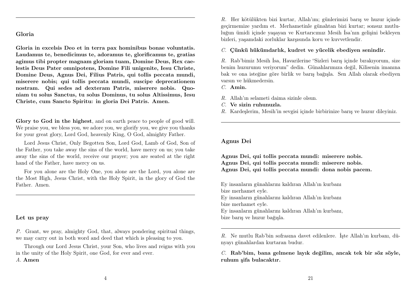## Gloria

Gloria in excelsis Deo et in terra pax hominibus bonae voluntatis. Laudamus te, benedicimus te, adoramus te, glorificamus te, gratias agimus tibi propter magnam gloriam tuam, Domine Deus, Rex caelestis Deus Pater omnipotens, Domine Fili unigenite, Iesu Christe, Domine Deus, Agnus Dei, Filius Patris, qui tollis peccata mundi, miserere nobis; qui tollis peccata mundi, suscipe deprecationem nostram. Qui sedes ad dexteram Patris, miserere nobis. Quoniam tu solus Sanctus, tu solus Dominus, tu solus Altissimus, Iesu Christe, cum Sancto Spiritu: in gloria Dei Patris. Amen.

Glory to God in the highest, and on earth peace to people of good will. We praise you, we bless you, we adore you, we glorify you, we give you thanks for your great glory, Lord God, heavenly King, O God, almighty Father.

Lord Jesus Christ, Only Begotten Son, Lord God, Lamb of God, Son of the Father, you take away the sins of the world, have mercy on us; you take away the sins of the world, receive our prayer; you are seated at the right hand of the Father, have mercy on us.

For you alone are the Holy One, you alone are the Lord, you alone are the Most High, Jesus Christ, with the Holy Spirit, in the glory of God the Father. Amen.

#### Let us pray

P. Grant, we pray, almighty God, that, always pondering spiritual things, we may carry out in both word and deed that which is pleasing to you.

Through our Lord Jesus Christ, your Son, who lives and reigns with you in the unity of the Holy Spirit, one God, for ever and ever.

#### A. Amen

R. Her kötülükten bizi kurtar, Allah'ım; günlerimizi barış ve huzur içinde geçirmemize yardım et. Merhametinle günahtan bizi kurtar; sonsuz mutluluğun ümidi içinde yaşayan ve Kurtarıcımız Mesih İsa'nın gelişini bekleyen bizleri, yaşamdaki zorluklar karşısında koru ve kuvvetlendir.

C. Çünkü hükümdarlık, kudret ve yücelik ebediyen senindir.

R. Rab'bimiz Mesih İsa, Havarilerine "Sizleri barış içinde bırakıyorum, size benim huzurumu veriyorum" dedin. Günahlarımıza değil, Kilisenin imanına bak ve ona isteğine göre birlik ve barış bağışla. Sen Allah olarak ebediyen varsın ve hükmedersin.

C. Amin.

- R. Allah'ın selameti daima sizinle olsun.
- C. Ve sizin ruhunuzla.
- R. Kardeşlerim, Mesih'in sevgisi içinde birbirinize barış ve huzur dileyiniz.

#### Agnus Dei

Agnus Dei, qui tollis peccata mundi: miserere nobis. Agnus Dei, qui tollis peccata mundi: miserere nobis. Agnus Dei, qui tollis peccata mundi: dona nobis pacem.

Ey insanların günahlarını kaldıran Allah'ın kurbanı bize merhamet eyle. Ey insanların günahlarını kaldıran Allah'ın kurbanı

bize merhamet eyle.

Ey insanların günahlarını kaldıran Allah'ın kurbanı, bize barış ve huzur bağışla.

R. Ne mutlu Rab'bin sofrasına davet edilenlere. İşte Allah'ın kurbanı, dünyayı günahlardan kurtaran budur.

C. Rab'bim, bana gelmene layık değilim, ancak tek bir söz söyle, ruhum şifa bulacaktır.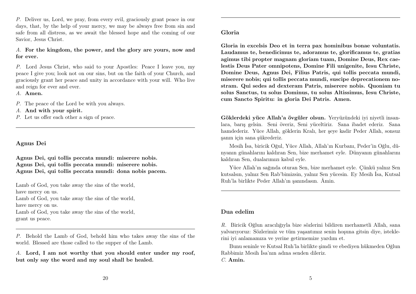P. Deliver us, Lord, we pray, from every evil, graciously grant peace in our days, that, by the help of your mercy, we may be always free from sin and safe from all distress, as we await the blessed hope and the coming of our Savior, Jesus Christ.

A. For the kingdom, the power, and the glory are yours, now and for ever.

P. Lord Jesus Christ, who said to your Apostles: Peace I leave you, my peace I give you; look not on our sins, but on the faith of your Church, and graciously grant her peace and unity in accordance with your will. Who live and reign for ever and ever.

A. Amen.

P. The peace of the Lord be with you always.

A. And with your spirit.

P. Let us offer each other a sign of peace.

### Agnus Dei

Agnus Dei, qui tollis peccata mundi: miserere nobis. Agnus Dei, qui tollis peccata mundi: miserere nobis. Agnus Dei, qui tollis peccata mundi: dona nobis pacem.

Lamb of God, you take away the sins of the world, have mercy on us. Lamb of God, you take away the sins of the world, have mercy on us. Lamb of God, you take away the sins of the world, grant us peace.

P. Behold the Lamb of God, behold him who takes away the sins of the world. Blessed are those called to the supper of the Lamb.

A. Lord, I am not worthy that you should enter under my roof, but only say the word and my soul shall be healed.

Gloria in excelsis Deo et in terra pax hominibus bonae voluntatis. Laudamus te, benedicimus te, adoramus te, glorificamus te, gratias agimus tibi propter magnam gloriam tuam, Domine Deus, Rex caelestis Deus Pater omnipotens, Domine Fili unigenite, Iesu Christe, Domine Deus, Agnus Dei, Filius Patris, qui tollis peccata mundi, miserere nobis; qui tollis peccata mundi, suscipe deprecationem nostram. Qui sedes ad dexteram Patris, miserere nobis. Quoniam tu solus Sanctus, tu solus Dominus, tu solus Altissimus, Iesu Christe, cum Sancto Spiritu: in gloria Dei Patris. Amen.

Göklerdeki yüce Allah'a övgüler olsun. Yeryüzündeki iyi niyetli insanlara, barış gelsin. Seni överiz, Seni yüceltiriz. Sana ibadet ederiz. Sana hamdederiz. Yüce Allah, göklerin Kralı, her şeye kadir Peder Allah, sonsuz şanın için sana şükrederiz.

Mesih İsa, biricik Oğul, Yüce Allah, Allah'ın Kurbanı, Peder'in Oğlu, dünyanın günahlarını kaldıran Sen, bize merhamet eyle. Dünyanın günahlarını kaldıran Sen, dualarımızı kabul eyle.

Yüce Allah'ın sağında oturan Sen, bize merhamet eyle. Çünkü yalnız Sen kutsalsın, yalnız Sen Rab'bimizsin, yalnız Sen yücesin. Ey Mesih İsa, Kutsal Ruh'la birlikte Peder Allah'ın şanındasın. Âmin.

## Dua edelim

R. Biricik Oğlun aracılığıyla bize sözlerini bildiren merhametli Allah, sana yalvarıyoruz: Sözlerimiz ve tüm yaşantımız senin hoşuna gitsin diye, isteklerini iyi anlamamıza ve yerine getirmemize yardım et.

Bunu seninle ve Kutsal Ruh'la birlikte şimdi ve ebediyen hükmeden Oğlun Rabbimiz Mesih İsa'nın adına senden dileriz. C. Amin.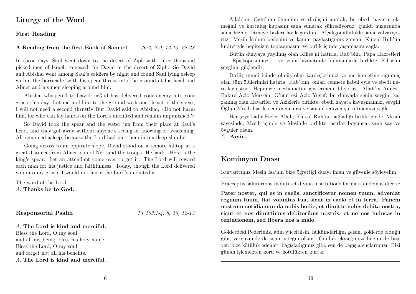# Liturgy of the Word

# First Reading

### A Reading from the first Book of Samuel 26:2, 7-9, 12-13, 22-23

In those days, Saul went down to the desert of Ziph with three thousand picked men of Israel, to search for David in the desert of Ziph. So David and Abishai went among Saul's soldiers by night and found Saul lying asleep within the barricade, with his spear thrust into the ground at his head and Abner and his men sleeping around him.

Abishai whispered to David: «God has delivered your enemy into your grasp this day. Let me nail him to the ground with one thrust of the spear; I will not need a second thrust!» But David said to Abishai, «Do not harm him, for who can lay hands on the Lord's anointed and remain unpunished?»

So David took the spear and the water jug from their place at Saul's head, and they got away without anyone's seeing or knowing or awakening. All remained asleep, because the Lord had put them into a deep slumber.

Going across to an opposite slope, David stood on a remote hilltop at a great distance from Abner, son of Ner, and the troops. He said: «Here is the king's spear. Let an attendant come over to get it. The Lord will reward each man for his justice and faithfulness. Today, though the Lord delivered you into my grasp, I would not harm the Lord's anointed.»

The word of the Lord. A. Thanks be to God.

# Responsorial Psalm *Ps 103:1-4, 8, 10, 12-13*

#### A. The Lord is kind and merciful.

Bless the Lord, O my soul; and all my being, bless his holy name. Bless the Lord, O my soul, and forget not all his benefits. A. The Lord is kind and merciful.

Allah'ım, Oğlu'nun ölümünü ve dirilişini anarak, bu ebedi hayatın ekmeğini ve kurtuluş kupasını sana sunarak şükrediyoruz; çünkü huzurunda sana hizmet etmeye bizleri layık gördün. Alçakgönüllülükle sana yalvarıyoruz: Mesih İsa'nın bedenini ve kanını paylaştığımız zaman, Kutsal Ruh'un kudretiyle hepimizin toplanmasını ve birlik içinde yaşamasını sağla.

Bütün dünyaya yayılmış olan Kilise'ni hatırla, Rab'bim, Papa Hazretleri . . . , Episkoposumuz . . . ve senin hizmetinde bulunanlarla birlikte, Kilise'ni sevginle güçlendir.

Diriliş ümidi içinde ölmüş olan kardeşlerimizi ve merhametine sığınmış olan tüm ölülerimizi hatırla. Rab'bim, onları cennete kabul eyle ve ebedi nura kavuştur. Hepimize merhametini göstermeni diliyoruz. Allah'ın Annesi, Bakire Aziz Meryem, O'nun eşi Aziz Yusuf, bu dünyada senin sevgini kazanmış olan Havariler ve Azizlerle birlikte, ebedi hayata kavuşmamızı, sevgili Oğlun Mesih İsa ile seni övmemizi ve sana ebediyen şükretmemizi sağla.

Her şeye kadir Peder Allah, Kutsal Ruh'un sağladığı birlik içinde, Mesih sayesinde, Mesih içinde ve Mesih'le birlikte, asırlar boyunca, sana şan ve övgüler olsun.

C. Amin.

# Komünyon Duası

Kurtarıcımız Mesih İsa'nın bize öğrettiği duayı iman ve güvenle söyleyelim.

Praeceptis salutaribus moniti, et divina institutione formati, audemus dicere:

Pater noster, qui es in caelis, sanctificetur nomen tuum, adveniat regnum tuum, fiat voluntas tua, sicut in caelo et in terra. Panem nostrum cotidianum da nobis hodie, et dimitte nobis debita nostra, sicut et nos dimittimus debitoribus nostris, et ne nos inducas in tentationem, sed libera nos a malo.

Göklerdeki Pederimiz, adın yüceltilsin, hükümdarlığın gelsin, göklerde olduğu gibi, yeryüzünde de senin isteğin olsun. Günlük ekmeğimizi bugün de bize ver, bize kötülük edenleri bağışladığımız gibi, sen de bağışla suçlarımızı. Bizi günah işlemekten koru ve kötülükten kurtar.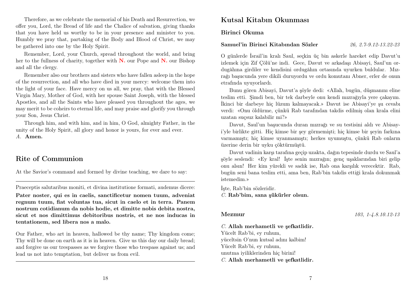Therefore, as we celebrate the memorial of his Death and Resurrection, we offer you, Lord, the Bread of life and the Chalice of salvation, giving thanks that you have held us worthy to be in your presence and minister to you. Humbly we pray that, partaking of the Body and Blood of Christ, we may be gathered into one by the Holy Spirit.

Remember, Lord, your Church, spread throughout the world, and bring her to the fullness of charity, together with  $N$ , our Pope and  $N$ , our Bishop and all the clergy.

Remember also our brothers and sisters who have fallen asleep in the hope of the resurrection, and all who have died in your mercy: welcome them into the light of your face. Have mercy on us all, we pray, that with the Blessed Virgin Mary, Mother of God, with her spouse Saint Joseph, with the blessed Apostles, and all the Saints who have pleased you throughout the ages, we may merit to be coheirs to eternal life, and may praise and glorify you through your Son, Jesus Christ.

Through him, and with him, and in him, O God, almighty Father, in the unity of the Holy Spirit, all glory and honor is yours, for ever and ever. A. Amen.

# Rite of Communion

At the Savior's command and formed by divine teaching, we dare to say:

Praeceptis salutaribus moniti, et divina institutione formati, audemus dicere: Pater noster, qui es in caelis, sanctificetur nomen tuum, adveniat regnum tuum, fiat voluntas tua, sicut in caelo et in terra. Panem nostrum cotidianum da nobis hodie, et dimitte nobis debita nostra, sicut et nos dimittimus debitoribus nostris, et ne nos inducas in tentationem, sed libera nos a malo.

Our Father, who art in heaven, hallowed be thy name; Thy kingdom come; Thy will be done on earth as it is in heaven. Give us this day our daily bread; and forgive us our trespasses as we forgive those who trespass against us; and lead us not into temptation, but deliver us from evil.

# Kutsal Kitabın Okunması

Birinci Okuma

#### Samuel'in Birinci Kitabından Sözler 26, 2.7-9.12-13.22-23

O günlerde İsrail'in kralı Saul, seçkin üç bin askerle hareket edip Davut'u izlemek için Zif Çölü'ne indi. Gece, Davut ve arkadaşı Abisayi, Saul'un ordugâhına girdiler ve kendisini ordugâhın ortasında uyurken buldular. Mızrağı başucunda yere dikili duruyordu ve ordu komutanı Abner, erler de onun etrafında uyuyorlardı.

Bunu gören Abisayi, Davut'a şöyle dedi: «Allah, bugün, düşmanını eline teslim etti. Şimdi ben, bir tek darbeyle onu kendi mızrağıyla yere çakayım. İkinci bir darbeye hiç lüzum kalmayacak.» Davut ise Abisayi'ye şu cevabı verdi: «Onu öldürme, çünkü Rab tarafından takdis edilmiş olan krala elini uzatan suçsuz kalabilir mi?»

Davut, Saul'un başucunda duran mızrağı ve su testisini aldı ve Abisayi'yle birlikte gitti. Hiç kimse bir şey görmemişti; hiç kimse bir şeyin farkına varmamıştı; hiç kimse uyanmamıştı; herkes uyumuştu, çünkü Rab onların üzerine derin bir uyku çöktürmüştü.

Davut vadinin karşı tarafına geçip uzakta, dağın tepesinde durdu ve Saul'a şöyle seslendi: «Ey kral! İşte senin mızrağın; genç uşaklarından biri gelip onu alsın! Her kim yürekli ve sadık ise, Rab ona karşılık verecektir. Rab, bugün seni bana teslim etti, ama ben, Rab'bin takdis ettiği krala dokunmak istemedim.»

İşte, Rab'bin sözleridir. C. Rab'bim, sana şükürler olsun.

Mezmur 103, 1-4.8.10.12-13

C. Allah merhametli ve şefkatlidir. Yücelt Rab'bi, ey ruhum, yüceltsin O'nun kutsal adını kalbim! Yücelt Rab'bi, ey ruhum, unutma iyiliklerinden hiç birini! C. Allah merhametli ve şefkatlidir.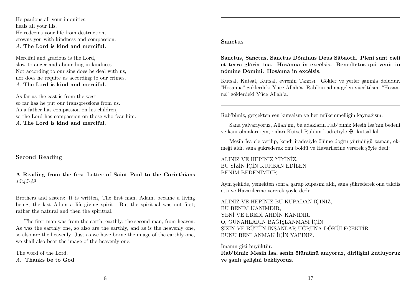He pardons all your iniquities, heals all your ills. He redeems your life from destruction, crowns you with kindness and compassion. A. The Lord is kind and merciful.

Merciful and gracious is the Lord, slow to anger and abounding in kindness. Not according to our sins does he deal with us, nor does he requite us according to our crimes. A. The Lord is kind and merciful.

As far as the east is from the west, so far has he put our transgressions from us. As a father has compassion on his children, so the Lord has compassion on those who fear him. A. The Lord is kind and merciful.

# Second Reading

A Reading from the first Letter of Saint Paul to the Corinthians 15:45-49

Brothers and sisters: It is written, The first man, Adam, became a living being, the last Adam a life-giving spirit. But the spiritual was not first; rather the natural and then the spiritual.

The first man was from the earth, earthly; the second man, from heaven. As was the earthly one, so also are the earthly, and as is the heavenly one, so also are the heavenly. Just as we have borne the image of the earthly one, we shall also bear the image of the heavenly one.

The word of the Lord. A. Thanks be to God

#### Sanctus

Sanctus, Sanctus, Sanctus Dóminus Deus Sábaoth. Pleni sunt cæli et terra glória tua. Hosánna in excélsis. Benedíctus qui venit in nómine Dómini. Hosánna in excélsis.

Kutsal, Kutsal, Kutsal, evrenin Tanrısı. Gökler ve yerler şanınla doludur. "Hosanna" göklerdeki Yüce Allah'a. Rab'bin adına gelen yüceltilsin. "Hosanna" göklerdeki Yüce Allah'a.

Rab'bimiz, gerçekten sen kutsalsın ve her mükemmelliğin kaynağısın.

Sana yalvarıyoruz, Allah'ım, bu adakların Rab'bimiz Mesih İsa'nın bedeni ve kanı olmaları için, onları Kutsal Ruh'un kudretiyle  $\mathbf{\Psi}$  kutsal kıl.

Mesih İsa ele verilip, kendi iradesiyle ölüme doğru yürüdüğü zaman, ekmeği aldı, sana şükrederek onu böldü ve Havarilerine vererek şöyle dedi:

# ALINIZ VE HEPİNİZ YİYİNİZ, BU SİZİN İÇİN KURBAN EDİLEN BENİM BEDENİMDİR.

Aynı şekilde, yemekten sonra, şarap kupasını aldı, sana şükrederek onu takdis etti ve Havarilerine vererek şöyle dedi:

ALINIZ VE HEPİNİZ BU KUPADAN İÇİNİZ, BU BENİM KANIMDIR, YENİ VE EBEDİ AHDİN KANIDIR. O, GÜNAHLARIN BAĞIŞLANMASI İÇİN SİZİN VE BÜTÜN İNSANLAR UĞRUNA DÖKÜLECEKTİR. BUNU BENİ ANMAK İÇİN YAPINIZ.

İmanın gizi büyüktür.

Rab'bimiz Mesih İsa, senin ölümünü anıyoruz, dirilişini kutluyoruz ve şanlı gelişini bekliyoruz.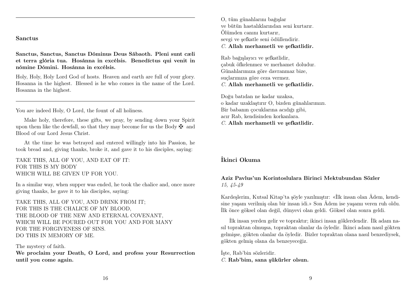## Sanctus

Sanctus, Sanctus, Sanctus Dóminus Deus Sábaoth. Pleni sunt cæli et terra glória tua. Hosánna in excélsis. Benedíctus qui venit in nómine Dómini. Hosánna in excélsis.

Holy, Holy, Holy Lord God of hosts. Heaven and earth are full of your glory. Hosanna in the highest. Blessed is he who comes in the name of the Lord. Hosanna in the highest.

You are indeed Holy, O Lord, the fount of all holiness.

Make holy, therefore, these gifts, we pray, by sending down your Spirit upon them like the dewfall, so that they may become for us the Body  $\mathbf{\ddot{F}}$  and Blood of our Lord Jesus Christ.

At the time he was betrayed and entered willingly into his Passion, he took bread and, giving thanks, broke it, and gave it to his disciples, saying:

TAKE THIS, ALL OF YOU, AND EAT OF IT: FOR THIS IS MY BODY WHICH WILL BE GIVEN UP FOR YOU.

In a similar way, when supper was ended, he took the chalice and, once more giving thanks, he gave it to his disciples, saying:

TAKE THIS, ALL OF YOU, AND DRINK FROM IT; FOR THIS IS THE CHALICE OF MY BLOOD, THE BLOOD OF THE NEW AND ETERNAL COVENANT, WHICH WILL BE POURED OUT FOR YOU AND FOR MANY FOR THE FORGIVENESS OF SINS. DO THIS IN MEMORY OF ME.

#### The mystery of faith.

We proclaim your Death, O Lord, and profess your Resurrection until you come again.

O, tüm günahlarını bağışlar ve bütün hastalıklarından seni kurtarır. Ölümden canını kurtarır, sevgi ve şefkatle seni ödüllendirir. C. Allah merhametli ve şefkatlidir.

Rab bağışlayıcı ve şefkatlidir, çabuk öfkelenmez ve merhamet doludur. Günahlarımıza göre davranmaz bize, suçlarımıza göre ceza vermez. C. Allah merhametli ve şefkatlidir.

Doğu batıdan ne kadar uzaksa, o kadar uzaklaştırır O, bizden günahlarımızı. Bir babanın çocuklarına acıdığı gibi, acır Rab, kendisinden korkanlara. C. Allah merhametli ve şefkatlidir.

# İkinci Okuma

### Aziz Pavlus'un Korintoslulara Birinci Mektubundan Sözler 15, 45-49

Kardeşlerim, Kutsal Kitap'ta şöyle yazılmıştır: «İlk insan olan Âdem, kendisine yaşam verilmiş olan bir insan idi.» Son Âdem ise yaşamı veren ruh oldu. İlk önce göksel olan değil, dünyevi olan geldi. Göksel olan sonra geldi.

İlk insan yerden gelir ve topraktır; ikinci insan göklerdendir. İlk adam nasıl topraktan olmuşsa, topraktan olanlar da öyledir. İkinci adam nasıl gökten gelmişse, gökten olanlar da öyledir. Bizler topraktan olana nasıl benzediysek, gökten gelmiş olana da benzeyeceğiz.

İşte, Rab'bin sözleridir. C. Rab'bim, sana şükürler olsun.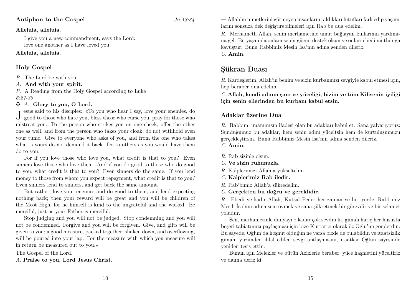# Antiphon to the Gospel  $J_n$  13:34

### Alleluia, alleluia.

I give you a new commandment, says the Lord: love one another as I have loved you.

#### Alleluia, alleluia.

# Holy Gospel

P. The Lord be with you.

## A. And with your spirit.

P. A Reading from the Holy Gospel according to Luke 6:27-38

# z A. Glory to you, O Lord.

J esus said to his disciples: «To you who hear I say, love your enemies, do good to those who hate you, bless those who curse you, pray for those who esus said to his disciples: «To you who hear I say, love your enemies, do mistreat you. To the person who strikes you on one cheek, offer the other one as well, and from the person who takes your cloak, do not withhold even your tunic. Give to everyone who asks of you, and from the one who takes what is yours do not demand it back. Do to others as you would have them do to you.

For if you love those who love you, what credit is that to you? Even sinners love those who love them. And if you do good to those who do good to you, what credit is that to you? Even sinners do the same. If you lend money to those from whom you expect repayment, what credit is that to you? Even sinners lend to sinners, and get back the same amount.

But rather, love your enemies and do good to them, and lend expecting nothing back; then your reward will be great and you will be children of the Most High, for he himself is kind to the ungrateful and the wicked. Be merciful, just as your Father is merciful.

Stop judging and you will not be judged. Stop condemning and you will not be condemned. Forgive and you will be forgiven. Give, and gifts will be given to you; a good measure, packed together, shaken down, and overflowing, will be poured into your lap. For the measure with which you measure will in return be measured out to you.»

The Gospel of the Lord.

A. Praise to you, Lord Jesus Christ.

— Allah'ın nimetlerini görmeyen insanların, aldıkları lütufları fark edip yaşamlarını sonsuza dek değiştirebilmeleri için Rab'be dua edelim.

R. Merhametli Allah, senin merhametine umut bağlayan kullarının yardımına gel: Bu yaşamda onlara senin gücün destek olsun ve onları ebedi mutluluğa kavuştur. Bunu Rabbimiz Mesih İsa'nın adına senden dileriz. C. Amin.

# Şükran Duası

R. Kardeşlerim, Allah'ın benim ve sizin kurbanınızı sevgiyle kabul etmesi için, hep beraber dua edelim.

C. Allah, kendi adının şanı ve yüceliği, bizim ve tüm Kilisenin iyiliği için senin ellerinden bu kurbanı kabul etsin.

# Adaklar üzerine Dua

R. Rabbim, imanımızın ifadesi olan bu adakları kabul et. Sana yalvarıyoruz: Sunduğumuz bu adaklar, hem senin adını yüceltsin hem de kurtuluşumuzu gerçekleştirsin. Bunu Rabbimiz Mesih İsa'nın adına senden dileriz.

C. Amin.

- R. Rab sizinle olsun.
- C. Ve sizin ruhunuzla.
- R. Kalplerimizi Allah'a yükseltelim.
- C. Kalplerimiz Rab iledir.
- R. Rab'bimiz Allah'a şükredelim.
- C. Gerçekten bu doğru ve gereklidir.

R. Ebedi ve kadir Allah, Kutsal Peder her zaman ve her yerde, Rabbimiz Mesih İsa'nın adına seni övmek ve sana şükretmek bir görevdir ve bir selamet yoludur.

Sen, merhametinle dünyayı o kadar çok sevdin ki, günah hariç her hususta beşeri tabiatımızı paylaşması için bize Kurtarıcı olarak öz Oğlu'nu gönderdin. Bu sayede, Oğlun'da hoşnut olduğun ne varsa bizde de bulabildin ve itaatsizlik günahı yüzünden ihlal edilen sevgi antlaşmasını, itaatkar Oğlun sayesinde yeniden tesis ettin.

Bunun için Melekler ve bütün Azizlerle beraber, yüce haşmetini yüceltiriz ve daima deriz ki: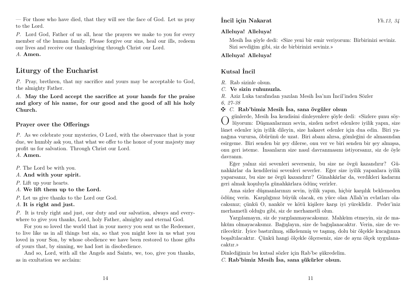— For those who have died, that they will see the face of God. Let us pray to the Lord.

P. Lord God, Father of us all, hear the prayers we make to you for every member of the human family. Please forgive our sins, heal our ills, redeem our lives and receive our thanksgiving through Christ our Lord. A. Amen.

# Liturgy of the Eucharist

P. Pray, brethren, that my sacrifice and yours may be acceptable to God, the almighty Father.

A. May the Lord accept the sacrifice at your hands for the praise and glory of his name, for our good and the good of all his holy Church.

# Prayer over the Offerings

P. As we celebrate your mysteries, O Lord, with the observance that is your due, we humbly ask you, that what we offer to the honor of your majesty may profit us for salvation. Through Christ our Lord.

A. Amen.

- P. The Lord be with you.
- A. And with your spirit.

P. Lift up your hearts.

- A. We lift them up to the Lord.
- P. Let us give thanks to the Lord our God.
- A. It is right and just.

P. It is truly right and just, our duty and our salvation, always and everywhere to give you thanks, Lord, holy Father, almighty and eternal God.

For you so loved the world that in your mercy you sent us the Redeemer, to live like us in all things but sin, so that you might love in us what you loved in your Son, by whose obedience we have been restored to those gifts of yours that, by sinning, we had lost in disobedience.

And so, Lord, with all the Angels and Saints, we, too, give you thanks, as in exultation we acclaim:

# Alleluya! Alleluya!

Mesih İsa şöyle dedi: «Size yeni bir emir veriyorum: Birbirinizi seviniz. Sizi sevdiğim gibi, siz de birbirinizi seviniz.»

Alleluya! Alleluya!

# Kutsal İncil

- $R$ . Rab sizinle olsun.
- C. Ve sizin ruhunuzla.
- R. Aziz Luka tarafından yazılan Mesih İsa'nın İncil'inden Sözler
- 6, 27-38
- $\mathbf{\Phi}$  C. Rab'bimiz Mesih İsa, sana övgüler olsun

O günlerde, Mesih İsa kendisini dinleyenlere şöyle dedi: «Sizlere şunu söylüyorum: Düşmanlarınızı sevin, sizden nefret edenlere iyilik yapın, size lânet edenler için iyilik dileyin, size hakaret edenler için dua edin. Biri yanağına vurursa, öbürünü de uzat. Biri abanı alırsa, gömleğini de almasından esirgeme. Biri senden bir şey dilerse, onu ver ve biri senden bir şey almışsa, onu geri isteme. İnsanların size nasıl davranmasını istiyorsanız, siz de öyle davranın.

Eğer yalnız sizi sevenleri severseniz, bu size ne övgü kazandırır? Günahkârlar da kendilerini sevenleri severler. Eğer size iyilik yapanlara iyilik yaparsanız, bu size ne övgü kazandırır? Günahkârlar da, verdikleri kadarını geri almak koşuluyla günahkârlara ödünç verirler.

Ama sizler düşmanlarınızı sevin, iyilik yapın, hiçbir karşılık beklemeden ödünç verin. Karşılığınız büyük olacak, en yüce olan Allah'ın evlatları olacaksınız; çünkü O, nankör ve kötü kişilere karşı iyi yüreklidir. Peder'iniz merhametli olduğu gibi, siz de merhametli olun.

Yargılamayın, siz de yargılanmayacaksınız. Mahkûm etmeyin, siz de mahkûm olmayacaksınız. Bağışlayın, size de bağışlanacaktır. Verin, size de verilecektir. İyice bastırılmış, silkelenmiş ve taşmış, dolu bir ölçekle kucağınıza boşaltılacaktır. Çünkü hangi ölçekle ölçerseniz, size de aynı ölçek uygulanacaktır.»

Dinlediğimiz bu kutsal sözler için Rab'be şükredelim. C. Rab'bimiz Mesih İsa, sana şükürler olsun.